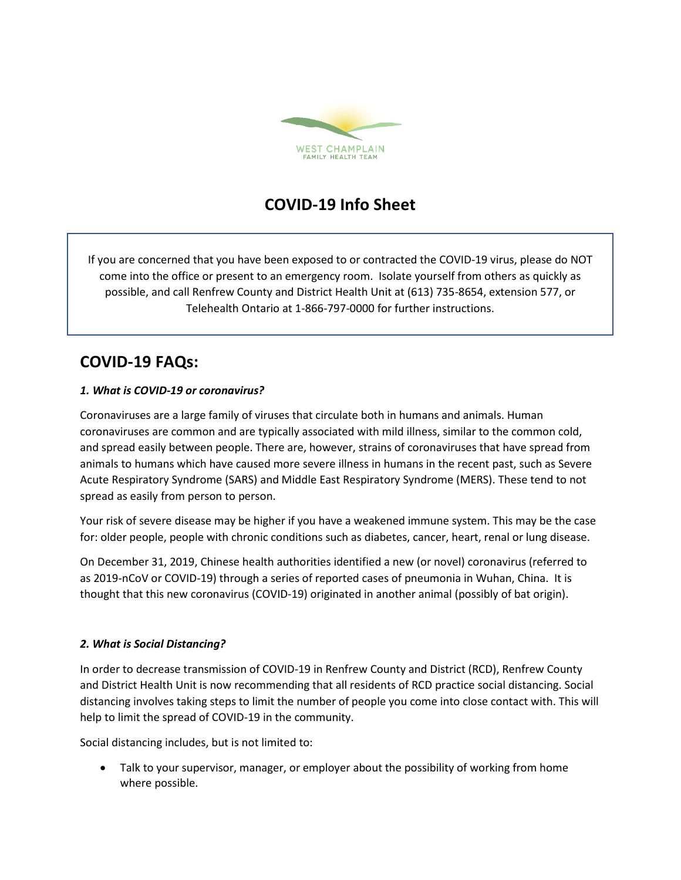

## **COVID-19 Info Sheet**

If you are concerned that you have been exposed to or contracted the COVID-19 virus, please do NOT come into the office or present to an emergency room. Isolate yourself from others as quickly as possible, and call Renfrew County and District Health Unit at (613) 735-8654, extension 577, or Telehealth Ontario at 1-866-797-0000 for further instructions.

# **COVID-19 FAQs:**

### *1. What is COVID-19 or coronavirus?*

Coronaviruses are a large family of viruses that circulate both in humans and animals. Human coronaviruses are common and are typically associated with mild illness, similar to the common cold, and spread easily between people. There are, however, strains of coronaviruses that have spread from animals to humans which have caused more severe illness in humans in the recent past, such as Severe Acute Respiratory Syndrome (SARS) and Middle East Respiratory Syndrome (MERS). These tend to not spread as easily from person to person.

Your risk of severe disease may be higher if you have a weakened immune system. This may be the case for: older people, people with chronic conditions such as diabetes, cancer, heart, renal or lung disease.

On December 31, 2019, Chinese health authorities identified a new (or novel) coronavirus (referred to as 2019-nCoV or COVID-19) through a series of reported cases of pneumonia in Wuhan, China. It is thought that this new coronavirus (COVID-19) originated in another animal (possibly of bat origin).

### *2. What is Social Distancing?*

In order to decrease transmission of COVID-19 in Renfrew County and District (RCD), Renfrew County and District Health Unit is now recommending that all residents of RCD practice social distancing. Social distancing involves taking steps to limit the number of people you come into close contact with. This will help to limit the spread of COVID-19 in the community.

Social distancing includes, but is not limited to:

• Talk to your supervisor, manager, or employer about the possibility of working from home where possible.